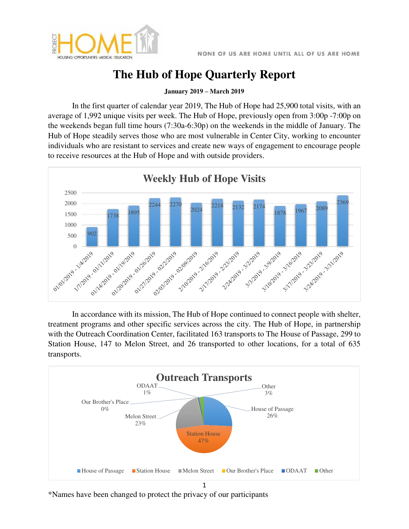

## **The Hub of Hope Quarterly Report**

## **January 2019 – March 2019**

In the first quarter of calendar year 2019, The Hub of Hope had 25,900 total visits, with an average of 1,992 unique visits per week. The Hub of Hope, previously open from 3:00p -7:00p on the weekends began full time hours (7:30a-6:30p) on the weekends in the middle of January. The Hub of Hope steadily serves those who are most vulnerable in Center City, working to encounter individuals who are resistant to services and create new ways of engagement to encourage people to receive resources at the Hub of Hope and with outside providers.



In accordance with its mission, The Hub of Hope continued to connect people with shelter, treatment programs and other specific services across the city. The Hub of Hope, in partnership with the Outreach Coordination Center, facilitated 163 transports to The House of Passage, 299 to Station House, 147 to Melon Street, and 26 transported to other locations, for a total of 635 transports.



\*Names have been changed to protect the privacy of our participants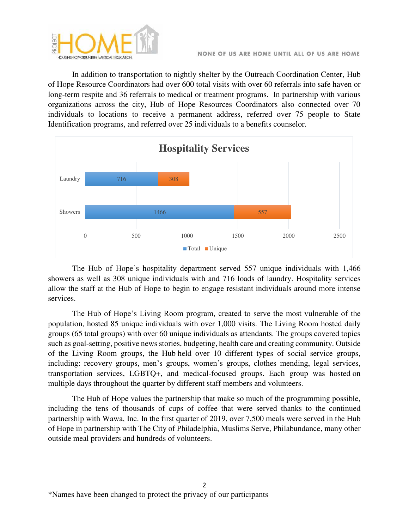

In addition to transportation to nightly shelter by the Outreach Coordination Center, Hub of Hope Resource Coordinators had over 600 total visits with over 60 referrals into safe haven or long-term respite and 36 referrals to medical or treatment programs. In partnership with various organizations across the city, Hub of Hope Resources Coordinators also connected over 70 individuals to locations to receive a permanent address, referred over 75 people to State Identification programs, and referred over 25 individuals to a benefits counselor.



The Hub of Hope's hospitality department served 557 unique individuals with 1,466 showers as well as 308 unique individuals with and 716 loads of laundry. Hospitality services allow the staff at the Hub of Hope to begin to engage resistant individuals around more intense services.

The Hub of Hope's Living Room program, created to serve the most vulnerable of the population, hosted 85 unique individuals with over 1,000 visits. The Living Room hosted daily groups (65 total groups) with over 60 unique individuals as attendants. The groups covered topics such as goal-setting, positive news stories, budgeting, health care and creating community. Outside of the Living Room groups, the Hub held over 10 different types of social service groups, including: recovery groups, men's groups, women's groups, clothes mending, legal services, transportation services, LGBTQ+, and medical-focused groups. Each group was hosted on multiple days throughout the quarter by different staff members and volunteers.

The Hub of Hope values the partnership that make so much of the programming possible, including the tens of thousands of cups of coffee that were served thanks to the continued partnership with Wawa, Inc. In the first quarter of 2019, over 7,500 meals were served in the Hub of Hope in partnership with The City of Philadelphia, Muslims Serve, Philabundance, many other outside meal providers and hundreds of volunteers.